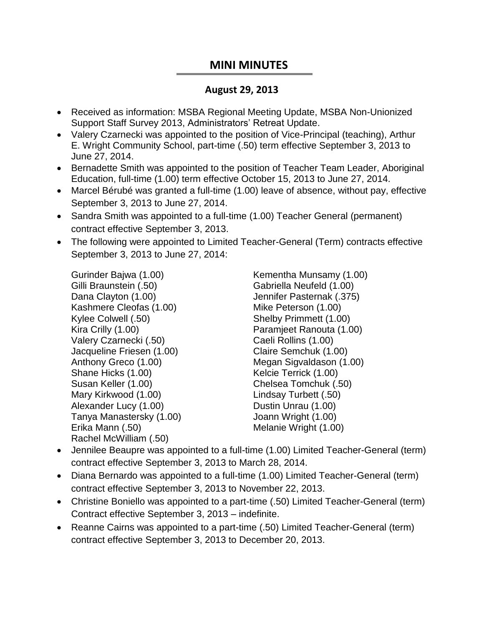## **MINI MINUTES**

## **August 29, 2013**

- Received as information: MSBA Regional Meeting Update, MSBA Non-Unionized Support Staff Survey 2013, Administrators' Retreat Update.
- Valery Czarnecki was appointed to the position of Vice-Principal (teaching), Arthur E. Wright Community School, part-time (.50) term effective September 3, 2013 to June 27, 2014.
- Bernadette Smith was appointed to the position of Teacher Team Leader, Aboriginal Education, full-time (1.00) term effective October 15, 2013 to June 27, 2014.
- Marcel Bérubé was granted a full-time (1.00) leave of absence, without pay, effective September 3, 2013 to June 27, 2014.
- Sandra Smith was appointed to a full-time (1.00) Teacher General (permanent) contract effective September 3, 2013.
- The following were appointed to Limited Teacher-General (Term) contracts effective September 3, 2013 to June 27, 2014:

Gurinder Bajwa (1.00) Gilli Braunstein (.50) Dana Clayton (1.00) Kashmere Cleofas (1.00) Kylee Colwell (.50) Kira Crilly (1.00) Valery Czarnecki (.50) Jacqueline Friesen (1.00) Anthony Greco (1.00) Shane Hicks (1.00) Susan Keller (1.00) Mary Kirkwood (1.00) Alexander Lucy (1.00) Tanya Manastersky (1.00) Erika Mann (.50) Rachel McWilliam (.50)

Kementha Munsamy (1.00) Gabriella Neufeld (1.00) Jennifer Pasternak (.375) Mike Peterson (1.00) Shelby Primmett (1.00) Paramjeet Ranouta (1.00) Caeli Rollins (1.00) Claire Semchuk (1.00) Megan Sigvaldason (1.00) Kelcie Terrick (1.00) Chelsea Tomchuk (.50) Lindsay Turbett (.50) Dustin Unrau (1.00) Joann Wright (1.00) Melanie Wright (1.00)

- Jennilee Beaupre was appointed to a full-time (1.00) Limited Teacher-General (term) contract effective September 3, 2013 to March 28, 2014.
- Diana Bernardo was appointed to a full-time (1.00) Limited Teacher-General (term) contract effective September 3, 2013 to November 22, 2013.
- Christine Boniello was appointed to a part-time (.50) Limited Teacher-General (term) Contract effective September 3, 2013 – indefinite.
- Reanne Cairns was appointed to a part-time (.50) Limited Teacher-General (term) contract effective September 3, 2013 to December 20, 2013.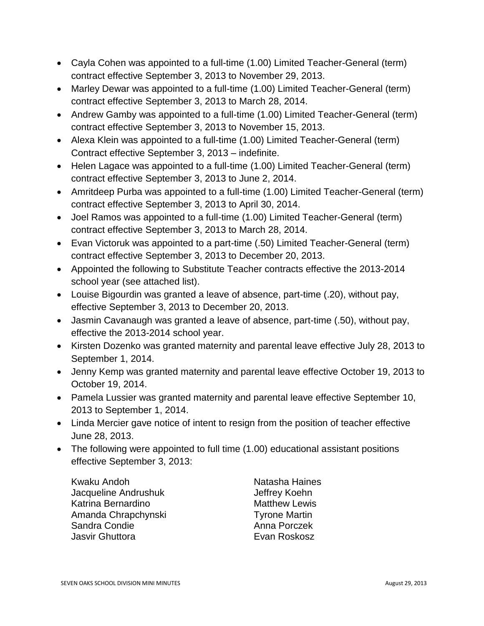- Cayla Cohen was appointed to a full-time (1.00) Limited Teacher-General (term) contract effective September 3, 2013 to November 29, 2013.
- Marley Dewar was appointed to a full-time (1.00) Limited Teacher-General (term) contract effective September 3, 2013 to March 28, 2014.
- Andrew Gamby was appointed to a full-time (1.00) Limited Teacher-General (term) contract effective September 3, 2013 to November 15, 2013.
- Alexa Klein was appointed to a full-time (1.00) Limited Teacher-General (term) Contract effective September 3, 2013 – indefinite.
- Helen Lagace was appointed to a full-time (1.00) Limited Teacher-General (term) contract effective September 3, 2013 to June 2, 2014.
- Amritdeep Purba was appointed to a full-time (1.00) Limited Teacher-General (term) contract effective September 3, 2013 to April 30, 2014.
- Joel Ramos was appointed to a full-time (1.00) Limited Teacher-General (term) contract effective September 3, 2013 to March 28, 2014.
- Evan Victoruk was appointed to a part-time (.50) Limited Teacher-General (term) contract effective September 3, 2013 to December 20, 2013.
- Appointed the following to Substitute Teacher contracts effective the 2013-2014 school year (see attached list).
- Louise Bigourdin was granted a leave of absence, part-time (.20), without pay, effective September 3, 2013 to December 20, 2013.
- Jasmin Cavanaugh was granted a leave of absence, part-time (.50), without pay, effective the 2013-2014 school year.
- Kirsten Dozenko was granted maternity and parental leave effective July 28, 2013 to September 1, 2014.
- Jenny Kemp was granted maternity and parental leave effective October 19, 2013 to October 19, 2014.
- Pamela Lussier was granted maternity and parental leave effective September 10, 2013 to September 1, 2014.
- Linda Mercier gave notice of intent to resign from the position of teacher effective June 28, 2013.
- The following were appointed to full time (1.00) educational assistant positions effective September 3, 2013:

Kwaku Andoh Jacqueline Andrushuk Katrina Bernardino Amanda Chrapchynski Sandra Condie Jasvir Ghuttora

Natasha Haines Jeffrey Koehn Matthew Lewis Tyrone Martin Anna Porczek Evan Roskosz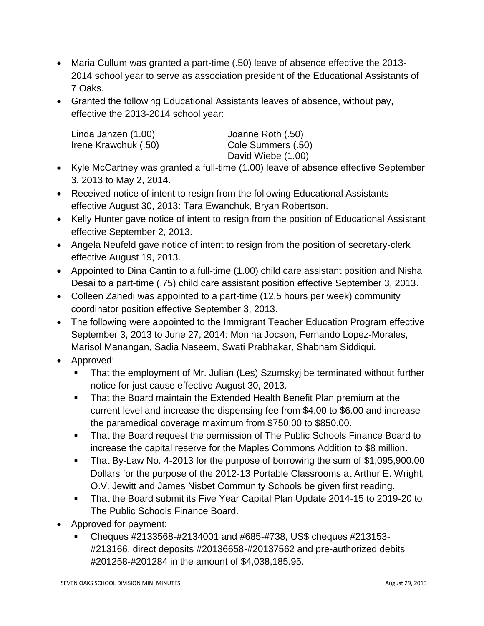- Maria Cullum was granted a part-time (.50) leave of absence effective the 2013- 2014 school year to serve as association president of the Educational Assistants of 7 Oaks.
- Granted the following Educational Assistants leaves of absence, without pay, effective the 2013-2014 school year:

| Linda Janzen (1.00)  | Joanne Roth (.50)  |
|----------------------|--------------------|
| Irene Krawchuk (.50) | Cole Summers (.50) |
|                      | David Wiebe (1.00) |

- Kyle McCartney was granted a full-time (1.00) leave of absence effective September 3, 2013 to May 2, 2014.
- Received notice of intent to resign from the following Educational Assistants effective August 30, 2013: Tara Ewanchuk, Bryan Robertson.
- Kelly Hunter gave notice of intent to resign from the position of Educational Assistant effective September 2, 2013.
- Angela Neufeld gave notice of intent to resign from the position of secretary-clerk effective August 19, 2013.
- Appointed to Dina Cantin to a full-time (1.00) child care assistant position and Nisha Desai to a part-time (.75) child care assistant position effective September 3, 2013.
- Colleen Zahedi was appointed to a part-time (12.5 hours per week) community coordinator position effective September 3, 2013.
- The following were appointed to the Immigrant Teacher Education Program effective September 3, 2013 to June 27, 2014: Monina Jocson, Fernando Lopez-Morales, Marisol Manangan, Sadia Naseem, Swati Prabhakar, Shabnam Siddiqui.
- Approved:
	- **That the employment of Mr. Julian (Les) Szumskyj be terminated without further** notice for just cause effective August 30, 2013.
	- That the Board maintain the Extended Health Benefit Plan premium at the current level and increase the dispensing fee from \$4.00 to \$6.00 and increase the paramedical coverage maximum from \$750.00 to \$850.00.
	- That the Board request the permission of The Public Schools Finance Board to increase the capital reserve for the Maples Commons Addition to \$8 million.
	- That By-Law No. 4-2013 for the purpose of borrowing the sum of \$1,095,900.00 Dollars for the purpose of the 2012-13 Portable Classrooms at Arthur E. Wright, O.V. Jewitt and James Nisbet Community Schools be given first reading.
	- **That the Board submit its Five Year Capital Plan Update 2014-15 to 2019-20 to** The Public Schools Finance Board.
- Approved for payment:
	- Cheques #2133568-#2134001 and #685-#738, US\$ cheques #213153- #213166, direct deposits #20136658-#20137562 and pre-authorized debits #201258-#201284 in the amount of \$4,038,185.95.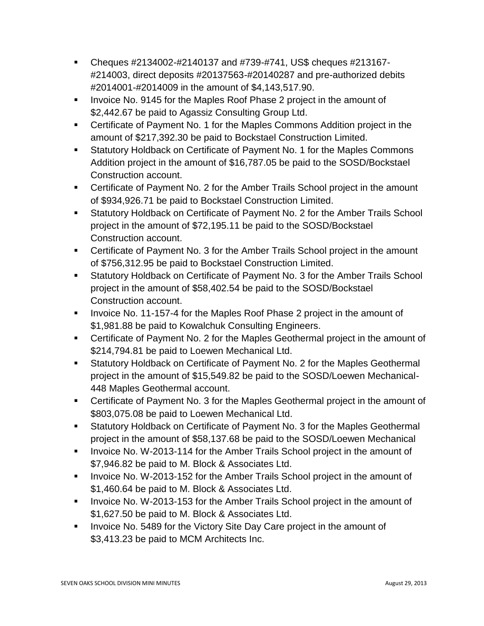- Cheques #2134002-#2140137 and #739-#741, US\$ cheques #213167- #214003, direct deposits #20137563-#20140287 and pre-authorized debits #2014001-#2014009 in the amount of \$4,143,517.90.
- Invoice No. 9145 for the Maples Roof Phase 2 project in the amount of \$2,442.67 be paid to Agassiz Consulting Group Ltd.
- Certificate of Payment No. 1 for the Maples Commons Addition project in the amount of \$217,392.30 be paid to Bockstael Construction Limited.
- **Statutory Holdback on Certificate of Payment No. 1 for the Maples Commons** Addition project in the amount of \$16,787.05 be paid to the SOSD/Bockstael Construction account.
- Certificate of Payment No. 2 for the Amber Trails School project in the amount of \$934,926.71 be paid to Bockstael Construction Limited.
- Statutory Holdback on Certificate of Payment No. 2 for the Amber Trails School project in the amount of \$72,195.11 be paid to the SOSD/Bockstael Construction account.
- Certificate of Payment No. 3 for the Amber Trails School project in the amount of \$756,312.95 be paid to Bockstael Construction Limited.
- Statutory Holdback on Certificate of Payment No. 3 for the Amber Trails School project in the amount of \$58,402.54 be paid to the SOSD/Bockstael Construction account.
- Invoice No. 11-157-4 for the Maples Roof Phase 2 project in the amount of \$1,981.88 be paid to Kowalchuk Consulting Engineers.
- Certificate of Payment No. 2 for the Maples Geothermal project in the amount of \$214,794.81 be paid to Loewen Mechanical Ltd.
- **Statutory Holdback on Certificate of Payment No. 2 for the Maples Geothermal** project in the amount of \$15,549.82 be paid to the SOSD/Loewen Mechanical-448 Maples Geothermal account.
- Certificate of Payment No. 3 for the Maples Geothermal project in the amount of \$803,075.08 be paid to Loewen Mechanical Ltd.
- Statutory Holdback on Certificate of Payment No. 3 for the Maples Geothermal project in the amount of \$58,137.68 be paid to the SOSD/Loewen Mechanical
- **IDED** 10. W-2013-114 for the Amber Trails School project in the amount of \$7,946.82 be paid to M. Block & Associates Ltd.
- Invoice No. W-2013-152 for the Amber Trails School project in the amount of \$1,460.64 be paid to M. Block & Associates Ltd.
- Invoice No. W-2013-153 for the Amber Trails School project in the amount of \$1,627.50 be paid to M. Block & Associates Ltd.
- Invoice No. 5489 for the Victory Site Day Care project in the amount of \$3,413.23 be paid to MCM Architects Inc.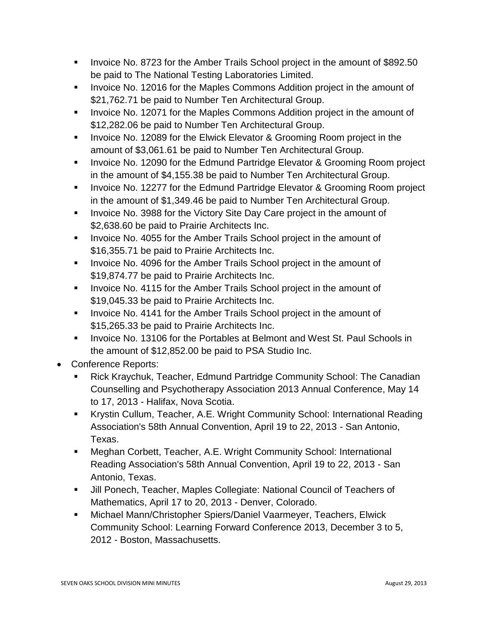- Invoice No. 8723 for the Amber Trails School project in the amount of \$892.50 be paid to The National Testing Laboratories Limited.
- **IDED 12016 Form Step 2016** for the Maples Commons Addition project in the amount of \$21,762.71 be paid to Number Ten Architectural Group.
- **IDED** 12071 for the Maples Commons Addition project in the amount of \$12,282.06 be paid to Number Ten Architectural Group.
- **IDED** 12089 for the Elwick Elevator & Grooming Room project in the amount of \$3,061.61 be paid to Number Ten Architectural Group.
- **Invoice No. 12090 for the Edmund Partridge Elevator & Grooming Room project** in the amount of \$4,155.38 be paid to Number Ten Architectural Group.
- **Invoice No. 12277 for the Edmund Partridge Elevator & Grooming Room project** in the amount of \$1,349.46 be paid to Number Ten Architectural Group.
- **IDED 10. 3988 for the Victory Site Day Care project in the amount of** \$2,638.60 be paid to Prairie Architects Inc.
- **IDED** 10.4055 for the Amber Trails School project in the amount of \$16,355.71 be paid to Prairie Architects Inc.
- Invoice No. 4096 for the Amber Trails School project in the amount of \$19,874.77 be paid to Prairie Architects Inc.
- **IDED** 10.4115 for the Amber Trails School project in the amount of \$19,045.33 be paid to Prairie Architects Inc.
- **IDED** 10.4141 for the Amber Trails School project in the amount of \$15,265.33 be paid to Prairie Architects Inc.
- **IDED 13106 Follow Incorde** Stepmont and West St. Paul Schools in the amount of \$12,852.00 be paid to PSA Studio Inc.
- Conference Reports:
	- Rick Kraychuk, Teacher, Edmund Partridge Community School: The Canadian Counselling and Psychotherapy Association 2013 Annual Conference, May 14 to 17, 2013 - Halifax, Nova Scotia.
	- Krystin Cullum, Teacher, A.E. Wright Community School: International Reading Association's 58th Annual Convention, April 19 to 22, 2013 - San Antonio, Texas.
	- Meghan Corbett, Teacher, A.E. Wright Community School: International Reading Association's 58th Annual Convention, April 19 to 22, 2013 - San Antonio, Texas.
	- Jill Ponech, Teacher, Maples Collegiate: National Council of Teachers of Mathematics, April 17 to 20, 2013 - Denver, Colorado.
	- Michael Mann/Christopher Spiers/Daniel Vaarmeyer, Teachers, Elwick Community School: Learning Forward Conference 2013, December 3 to 5, 2012 - Boston, Massachusetts.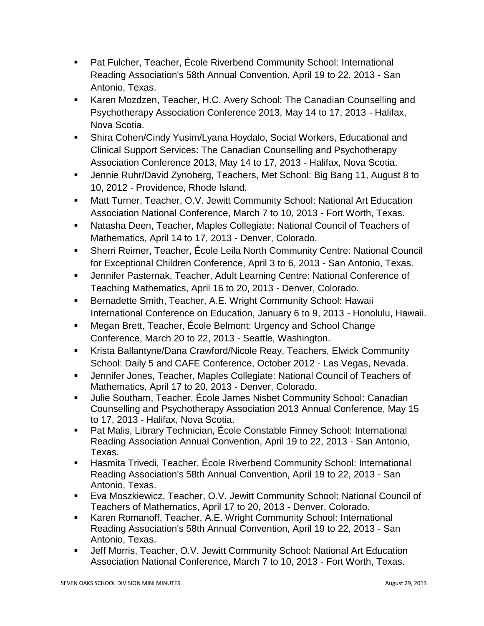- Pat Fulcher, Teacher, École Riverbend Community School: International Reading Association's 58th Annual Convention, April 19 to 22, 2013 - San Antonio, Texas.
- **Karen Mozdzen, Teacher, H.C. Avery School: The Canadian Counselling and** Psychotherapy Association Conference 2013, May 14 to 17, 2013 - Halifax, Nova Scotia.
- Shira Cohen/Cindy Yusim/Lyana Hoydalo, Social Workers, Educational and Clinical Support Services: The Canadian Counselling and Psychotherapy Association Conference 2013, May 14 to 17, 2013 - Halifax, Nova Scotia.
- Jennie Ruhr/David Zynoberg, Teachers, Met School: Big Bang 11, August 8 to 10, 2012 - Providence, Rhode Island.
- Matt Turner, Teacher, O.V. Jewitt Community School: National Art Education Association National Conference, March 7 to 10, 2013 - Fort Worth, Texas.
- Natasha Deen, Teacher, Maples Collegiate: National Council of Teachers of Mathematics, April 14 to 17, 2013 - Denver, Colorado.
- Sherri Reimer, Teacher, École Leila North Community Centre: National Council for Exceptional Children Conference, April 3 to 6, 2013 - San Antonio, Texas.
- Jennifer Pasternak, Teacher, Adult Learning Centre: National Conference of Teaching Mathematics, April 16 to 20, 2013 - Denver, Colorado.
- **Bernadette Smith, Teacher, A.E. Wright Community School: Hawaii** International Conference on Education, January 6 to 9, 2013 - Honolulu, Hawaii.
- Megan Brett, Teacher, École Belmont: Urgency and School Change Conference, March 20 to 22, 2013 - Seattle, Washington.
- Krista Ballantyne/Dana Crawford/Nicole Reay, Teachers, Elwick Community School: Daily 5 and CAFE Conference, October 2012 - Las Vegas, Nevada.
- Jennifer Jones, Teacher, Maples Collegiate: National Council of Teachers of Mathematics, April 17 to 20, 2013 - Denver, Colorado.
- Julie Southam, Teacher, École James Nisbet Community School: Canadian Counselling and Psychotherapy Association 2013 Annual Conference, May 15 to 17, 2013 - Halifax, Nova Scotia.
- Pat Malis, Library Technician, École Constable Finney School: International Reading Association Annual Convention, April 19 to 22, 2013 - San Antonio, Texas.
- Hasmita Trivedi, Teacher, École Riverbend Community School: International Reading Association's 58th Annual Convention, April 19 to 22, 2013 - San Antonio, Texas.
- Eva Moszkiewicz, Teacher, O.V. Jewitt Community School: National Council of Teachers of Mathematics, April 17 to 20, 2013 - Denver, Colorado.
- Karen Romanoff, Teacher, A.E. Wright Community School: International Reading Association's 58th Annual Convention, April 19 to 22, 2013 - San Antonio, Texas.
- Jeff Morris, Teacher, O.V. Jewitt Community School: National Art Education Association National Conference, March 7 to 10, 2013 - Fort Worth, Texas.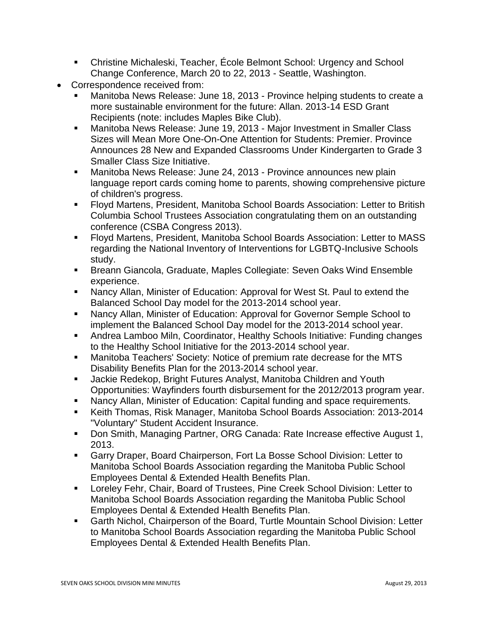- Christine Michaleski, Teacher, École Belmont School: Urgency and School Change Conference, March 20 to 22, 2013 - Seattle, Washington.
- Correspondence received from:
	- Manitoba News Release: June 18, 2013 Province helping students to create a more sustainable environment for the future: Allan. 2013-14 ESD Grant Recipients (note: includes Maples Bike Club).
	- Manitoba News Release: June 19, 2013 Major Investment in Smaller Class Sizes will Mean More One-On-One Attention for Students: Premier. Province Announces 28 New and Expanded Classrooms Under Kindergarten to Grade 3 Smaller Class Size Initiative.
	- Manitoba News Release: June 24, 2013 Province announces new plain language report cards coming home to parents, showing comprehensive picture of children's progress.
	- Floyd Martens, President, Manitoba School Boards Association: Letter to British Columbia School Trustees Association congratulating them on an outstanding conference (CSBA Congress 2013).
	- Floyd Martens, President, Manitoba School Boards Association: Letter to MASS regarding the National Inventory of Interventions for LGBTQ-Inclusive Schools study.
	- Breann Giancola, Graduate, Maples Collegiate: Seven Oaks Wind Ensemble experience.
	- Nancy Allan, Minister of Education: Approval for West St. Paul to extend the Balanced School Day model for the 2013-2014 school year.
	- Nancy Allan, Minister of Education: Approval for Governor Semple School to implement the Balanced School Day model for the 2013-2014 school year.
	- Andrea Lamboo Miln, Coordinator, Healthy Schools Initiative: Funding changes to the Healthy School Initiative for the 2013-2014 school year.
	- Manitoba Teachers' Society: Notice of premium rate decrease for the MTS Disability Benefits Plan for the 2013-2014 school year.
	- Jackie Redekop, Bright Futures Analyst, Manitoba Children and Youth Opportunities: Wayfinders fourth disbursement for the 2012/2013 program year.
	- Nancy Allan, Minister of Education: Capital funding and space requirements.
	- Keith Thomas, Risk Manager, Manitoba School Boards Association: 2013-2014 "Voluntary" Student Accident Insurance.
	- Don Smith, Managing Partner, ORG Canada: Rate Increase effective August 1, 2013.
	- Garry Draper, Board Chairperson, Fort La Bosse School Division: Letter to Manitoba School Boards Association regarding the Manitoba Public School Employees Dental & Extended Health Benefits Plan.
	- Loreley Fehr, Chair, Board of Trustees, Pine Creek School Division: Letter to Manitoba School Boards Association regarding the Manitoba Public School Employees Dental & Extended Health Benefits Plan.
	- Garth Nichol, Chairperson of the Board, Turtle Mountain School Division: Letter to Manitoba School Boards Association regarding the Manitoba Public School Employees Dental & Extended Health Benefits Plan.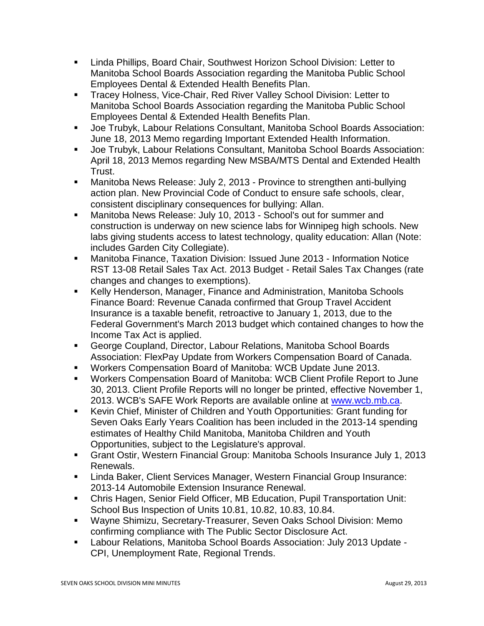- **EXECT** Linda Phillips, Board Chair, Southwest Horizon School Division: Letter to Manitoba School Boards Association regarding the Manitoba Public School Employees Dental & Extended Health Benefits Plan.
- **Tracey Holness, Vice-Chair, Red River Valley School Division: Letter to** Manitoba School Boards Association regarding the Manitoba Public School Employees Dental & Extended Health Benefits Plan.
- Joe Trubyk, Labour Relations Consultant, Manitoba School Boards Association: June 18, 2013 Memo regarding Important Extended Health Information.
- Joe Trubyk, Labour Relations Consultant, Manitoba School Boards Association: April 18, 2013 Memos regarding New MSBA/MTS Dental and Extended Health Trust.
- **Manitoba News Release: July 2, 2013 Province to strengthen anti-bullying** action plan. New Provincial Code of Conduct to ensure safe schools, clear, consistent disciplinary consequences for bullying: Allan.
- Manitoba News Release: July 10, 2013 School's out for summer and construction is underway on new science labs for Winnipeg high schools. New labs giving students access to latest technology, quality education: Allan (Note: includes Garden City Collegiate).
- Manitoba Finance, Taxation Division: Issued June 2013 Information Notice RST 13-08 Retail Sales Tax Act. 2013 Budget - Retail Sales Tax Changes (rate changes and changes to exemptions).
- Kelly Henderson, Manager, Finance and Administration, Manitoba Schools Finance Board: Revenue Canada confirmed that Group Travel Accident Insurance is a taxable benefit, retroactive to January 1, 2013, due to the Federal Government's March 2013 budget which contained changes to how the Income Tax Act is applied.
- George Coupland, Director, Labour Relations, Manitoba School Boards Association: FlexPay Update from Workers Compensation Board of Canada.
- Workers Compensation Board of Manitoba: WCB Update June 2013.
- Workers Compensation Board of Manitoba: WCB Client Profile Report to June 30, 2013. Client Profile Reports will no longer be printed, effective November 1, 2013. WCB's SAFE Work Reports are available online at [www.wcb.mb.ca.](http://www.wcb.mb.ca/)
- **Kevin Chief, Minister of Children and Youth Opportunities: Grant funding for** Seven Oaks Early Years Coalition has been included in the 2013-14 spending estimates of Healthy Child Manitoba, Manitoba Children and Youth Opportunities, subject to the Legislature's approval.
- Grant Ostir, Western Financial Group: Manitoba Schools Insurance July 1, 2013 Renewals.
- **EXECT Analysis Engineerism Instancer Insurance Insurance:** Linda Baker, Client Services Managers, Western Computance: 2013-14 Automobile Extension Insurance Renewal.
- Chris Hagen, Senior Field Officer, MB Education, Pupil Transportation Unit: School Bus Inspection of Units 10.81, 10.82, 10.83, 10.84.
- Wayne Shimizu, Secretary-Treasurer, Seven Oaks School Division: Memo confirming compliance with The Public Sector Disclosure Act.
- Labour Relations, Manitoba School Boards Association: July 2013 Update CPI, Unemployment Rate, Regional Trends.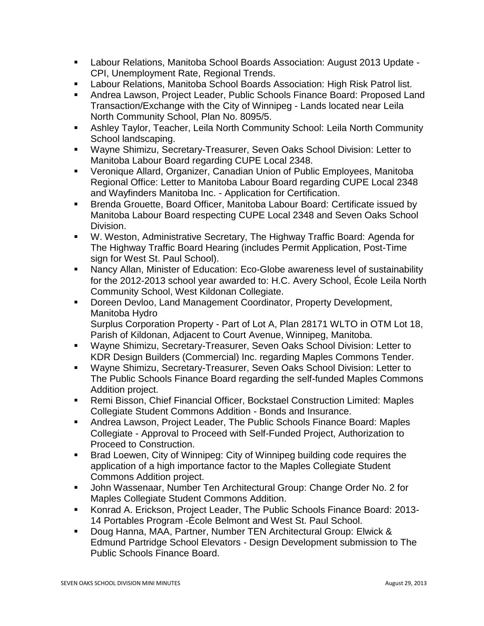- Labour Relations, Manitoba School Boards Association: August 2013 Update CPI, Unemployment Rate, Regional Trends.
- Labour Relations, Manitoba School Boards Association: High Risk Patrol list.
- Andrea Lawson, Project Leader, Public Schools Finance Board: Proposed Land Transaction/Exchange with the City of Winnipeg - Lands located near Leila North Community School, Plan No. 8095/5.
- Ashley Taylor, Teacher, Leila North Community School: Leila North Community School landscaping.
- Wayne Shimizu, Secretary-Treasurer, Seven Oaks School Division: Letter to Manitoba Labour Board regarding CUPE Local 2348.
- Veronique Allard, Organizer, Canadian Union of Public Employees, Manitoba Regional Office: Letter to Manitoba Labour Board regarding CUPE Local 2348 and Wayfinders Manitoba Inc. - Application for Certification.
- Brenda Grouette, Board Officer, Manitoba Labour Board: Certificate issued by Manitoba Labour Board respecting CUPE Local 2348 and Seven Oaks School Division.
- W. Weston, Administrative Secretary, The Highway Traffic Board: Agenda for The Highway Traffic Board Hearing (includes Permit Application, Post-Time sign for West St. Paul School).
- Nancy Allan, Minister of Education: Eco-Globe awareness level of sustainability for the 2012-2013 school year awarded to: H.C. Avery School, École Leila North Community School, West Kildonan Collegiate.
- **Doreen Devloo, Land Management Coordinator, Property Development,** Manitoba Hydro Surplus Corporation Property - Part of Lot A, Plan 28171 WLTO in OTM Lot 18, Parish of Kildonan, Adjacent to Court Avenue, Winnipeg, Manitoba.
- Wayne Shimizu, Secretary-Treasurer, Seven Oaks School Division: Letter to KDR Design Builders (Commercial) Inc. regarding Maples Commons Tender.
- Wayne Shimizu, Secretary-Treasurer, Seven Oaks School Division: Letter to The Public Schools Finance Board regarding the self-funded Maples Commons Addition project.
- Remi Bisson, Chief Financial Officer, Bockstael Construction Limited: Maples Collegiate Student Commons Addition - Bonds and Insurance.
- Andrea Lawson, Project Leader, The Public Schools Finance Board: Maples Collegiate - Approval to Proceed with Self-Funded Project, Authorization to Proceed to Construction.
- **Brad Loewen, City of Winnipeg: City of Winnipeg building code requires the** application of a high importance factor to the Maples Collegiate Student Commons Addition project.
- John Wassenaar, Number Ten Architectural Group: Change Order No. 2 for Maples Collegiate Student Commons Addition.
- Konrad A. Erickson, Project Leader, The Public Schools Finance Board: 2013- 14 Portables Program -École Belmont and West St. Paul School.
- Doug Hanna, MAA, Partner, Number TEN Architectural Group: Elwick & Edmund Partridge School Elevators - Design Development submission to The Public Schools Finance Board.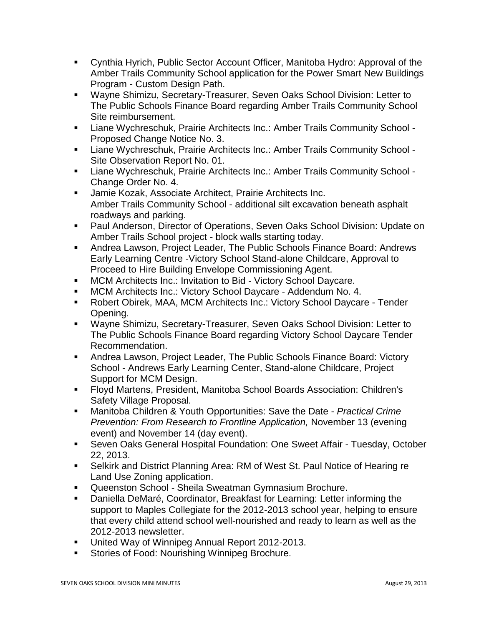- Cynthia Hyrich, Public Sector Account Officer, Manitoba Hydro: Approval of the Amber Trails Community School application for the Power Smart New Buildings Program - Custom Design Path.
- Wayne Shimizu, Secretary-Treasurer, Seven Oaks School Division: Letter to The Public Schools Finance Board regarding Amber Trails Community School Site reimbursement.
- Liane Wychreschuk, Prairie Architects Inc.: Amber Trails Community School Proposed Change Notice No. 3.
- Liane Wychreschuk, Prairie Architects Inc.: Amber Trails Community School Site Observation Report No. 01.
- Liane Wychreschuk, Prairie Architects Inc.: Amber Trails Community School Change Order No. 4.
- **Jamie Kozak, Associate Architect, Prairie Architects Inc.** Amber Trails Community School - additional silt excavation beneath asphalt roadways and parking.
- **Paul Anderson, Director of Operations, Seven Oaks School Division: Update on** Amber Trails School project - block walls starting today.
- Andrea Lawson, Project Leader, The Public Schools Finance Board: Andrews Early Learning Centre -Victory School Stand-alone Childcare, Approval to Proceed to Hire Building Envelope Commissioning Agent.
- **MCM Architects Inc.: Invitation to Bid Victory School Daycare.**
- MCM Architects Inc.: Victory School Daycare Addendum No. 4.
- Robert Obirek, MAA, MCM Architects Inc.: Victory School Daycare Tender Opening.
- Wayne Shimizu, Secretary-Treasurer, Seven Oaks School Division: Letter to The Public Schools Finance Board regarding Victory School Daycare Tender Recommendation.
- Andrea Lawson, Project Leader, The Public Schools Finance Board: Victory School - Andrews Early Learning Center, Stand-alone Childcare, Project Support for MCM Design.
- Floyd Martens, President, Manitoba School Boards Association: Children's Safety Village Proposal.
- Manitoba Children & Youth Opportunities: Save the Date *Practical Crime Prevention: From Research to Frontline Application,* November 13 (evening event) and November 14 (day event).
- **Seven Oaks General Hospital Foundation: One Sweet Affair Tuesday, October** 22, 2013.
- Selkirk and District Planning Area: RM of West St. Paul Notice of Hearing re Land Use Zoning application.
- Queenston School Sheila Sweatman Gymnasium Brochure.
- Daniella DeMaré, Coordinator, Breakfast for Learning: Letter informing the support to Maples Collegiate for the 2012-2013 school year, helping to ensure that every child attend school well-nourished and ready to learn as well as the 2012-2013 newsletter.
- United Way of Winnipeg Annual Report 2012-2013.
- Stories of Food: Nourishing Winnipeg Brochure.